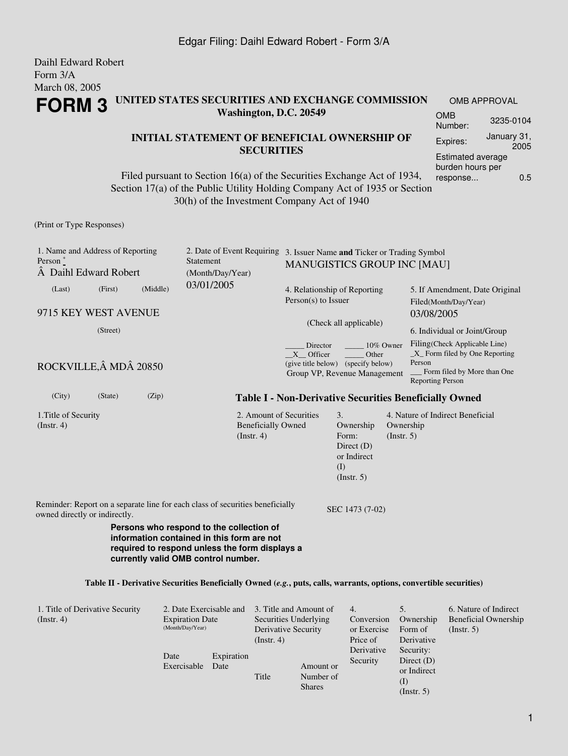#### Daihl Edward Robert Form 3/A March 08, 2005 **FORM 3 UNITED STATES SECURITIES AND EXCHANGE COMMISSION Washington, D.C. 20549** OMB APPROVAL OMB Number: 3235-0104

### **INITIAL STATEMENT OF BENEFICIAL OWNERSHIP OF SECURITIES**

Filed pursuant to Section 16(a) of the Securities Exchange Act of 1934, Section 17(a) of the Public Utility Holding Company Act of 1935 or Section 30(h) of the Investment Company Act of 1940

(Print or Type Responses)

| 1. Name and Address of Reporting<br>Person $*$<br>A Daihl Edward Robert                                                                                                                                                                                                                               |          |          | Statement<br>(Month/Day/Year) | 2. Date of Event Requiring 3. Issuer Name and Ticker or Trading Symbol<br><b>MANUGISTICS GROUP INC [MAU]</b> |                                                                                                                   |                                                                               |                          |                                                                                                                                        |  |
|-------------------------------------------------------------------------------------------------------------------------------------------------------------------------------------------------------------------------------------------------------------------------------------------------------|----------|----------|-------------------------------|--------------------------------------------------------------------------------------------------------------|-------------------------------------------------------------------------------------------------------------------|-------------------------------------------------------------------------------|--------------------------|----------------------------------------------------------------------------------------------------------------------------------------|--|
| (Last)                                                                                                                                                                                                                                                                                                | (First)  | (Middle) | 03/01/2005                    |                                                                                                              | 4. Relationship of Reporting<br>Person(s) to Issuer                                                               |                                                                               |                          | 5. If Amendment, Date Original<br>Filed(Month/Day/Year)                                                                                |  |
| 9715 KEY WEST AVENUE                                                                                                                                                                                                                                                                                  |          |          |                               |                                                                                                              |                                                                                                                   |                                                                               |                          | 03/08/2005                                                                                                                             |  |
|                                                                                                                                                                                                                                                                                                       | (Street) |          |                               |                                                                                                              | (Check all applicable)                                                                                            |                                                                               |                          | 6. Individual or Joint/Group                                                                                                           |  |
| ROCKVILLE, Â MDÂ 20850                                                                                                                                                                                                                                                                                |          |          |                               |                                                                                                              | Director<br>10% Owner<br>X Officer<br>Other<br>(give title below) (specify below)<br>Group VP, Revenue Management |                                                                               |                          | Filing(Check Applicable Line)<br>$\_X$ Form filed by One Reporting<br>Person<br>Form filed by More than One<br><b>Reporting Person</b> |  |
| (City)                                                                                                                                                                                                                                                                                                | (State)  | (Zip)    |                               |                                                                                                              |                                                                                                                   |                                                                               |                          | <b>Table I - Non-Derivative Securities Beneficially Owned</b>                                                                          |  |
| 1. Title of Security<br>(Instr. 4)                                                                                                                                                                                                                                                                    |          |          | (Insert. 4)                   | <b>Beneficially Owned</b>                                                                                    | 2. Amount of Securities                                                                                           | 3.<br>Ownership<br>Form:<br>Direct $(D)$<br>or Indirect<br>(I)<br>(Insert. 5) | Ownership<br>(Insert. 5) | 4. Nature of Indirect Beneficial                                                                                                       |  |
| Reminder: Report on a separate line for each class of securities beneficially<br>owned directly or indirectly.                                                                                                                                                                                        |          |          |                               |                                                                                                              |                                                                                                                   | SEC 1473 (7-02)                                                               |                          |                                                                                                                                        |  |
| Persons who respond to the collection of<br>information contained in this form are not<br>required to respond unless the form displays a<br>currently valid OMB control number.<br>Table II - Derivative Securities Beneficially Owned (e.g., puts, calls, warrants, options, convertible securities) |          |          |                               |                                                                                                              |                                                                                                                   |                                                                               |                          |                                                                                                                                        |  |
|                                                                                                                                                                                                                                                                                                       |          |          |                               |                                                                                                              |                                                                                                                   |                                                                               |                          |                                                                                                                                        |  |

| 1. Title of Derivative Security | 2. Date Exercisable and |                    | 3. Title and Amount of |                        | 4.          | 5.           | 6. Nature of Indirect |
|---------------------------------|-------------------------|--------------------|------------------------|------------------------|-------------|--------------|-----------------------|
| $($ Instr. 4 $)$                | <b>Expiration Date</b>  |                    | Securities Underlying  |                        | Conversion  | Ownership    | Beneficial Ownership  |
|                                 | (Month/Day/Year)        |                    | Derivative Security    |                        | or Exercise | Form of      | (Insert. 5)           |
|                                 |                         |                    | (Instr. 4)             |                        | Price of    | Derivative   |                       |
|                                 | Date<br>Exercisable     | Expiration<br>Date |                        |                        | Derivative  | Security:    |                       |
|                                 |                         |                    |                        |                        | Security    | Direct $(D)$ |                       |
|                                 |                         |                    | Title                  | Amount or<br>Number of |             | or Indirect  |                       |
|                                 |                         |                    |                        |                        |             | (I)          |                       |
|                                 |                         |                    |                        | <b>Shares</b>          |             | (Insert. 5)  |                       |

Expires: January 31,

Estimated average burden hours per response... 0.5

2005